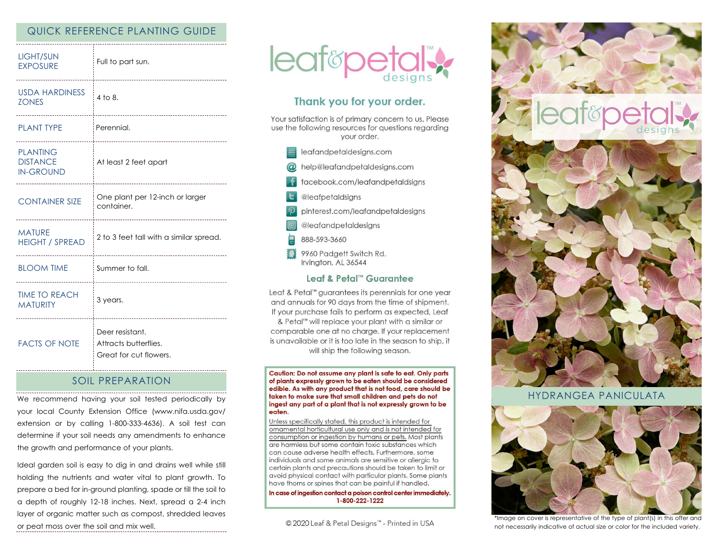## QUICK REFERENCE PLANTING GUIDE

| <b>LIGHT/SUN</b><br><b>EXPOSURE</b>                    | Full to part sun.<br>                                                               |
|--------------------------------------------------------|-------------------------------------------------------------------------------------|
| <b>USDA HARDINESS</b><br><b>ZONES</b>                  | 4 to 8.<br>-------------------------------                                          |
| <b>PLANT TYPE</b>                                      | Perennial.                                                                          |
| <b>PLANTING</b><br><b>DISTANCE</b><br><b>IN-GROUND</b> | At least 2 feet apart                                                               |
| <b>CONTAINER SIZE</b><br>.                             | One plant per 12-inch or larger<br>container.<br>---------------------------------- |
| <b>MATURE</b><br><b>HEIGHT / SPREAD</b>                | 2 to 3 feet tall with a similar spread.                                             |
| <b>BLOOM TIME</b>                                      | Summer to fall.                                                                     |
| <b>TIME TO REACH</b><br><b>MATURITY</b>                | 3 years.                                                                            |
| <b>FACTS OF NOTE</b>                                   | Deer resistant.<br>Attracts butterflies.<br>Great for cut flowers.                  |

### SOIL PREPARATION

We recommend having your soil tested periodically by your local County Extension Office (www.nifa.usda.gov/ extension or by calling 1-800-333-4636). A soil test can determine if your soil needs any amendments to enhance the growth and performance of your plants.

Ideal garden soil is easy to dig in and drains well while still holding the nutrients and water vital to plant growth. To prepare a bed for in-ground planting, spade or till the soil to a depth of roughly 12-18 inches. Next, spread a 2-4 inch layer of organic matter such as compost, shredded leaves or peat moss over the soil and mix well.



# Thank you for your order.

Your satisfaction is of primary concern to us. Please use the following resources for questions regarding your order.

- $\equiv$  leafandpetaldesigns.com
- @ help@leafandpetaldesigns.com
- facebook.com/leafandpetaldsigns
- **L** @leafpetaldsigns
- pinterest.com/leafandpetaldesigns
- @leafandpetaldesigns
- 888-593-3660
- 9960 Padgett Switch Rd. Irvington, AL 36544

### Leaf & Petal™ Guarantee

Leaf & Petal™ guarantees its perennials for one year and annuals for 90 days from the time of shipment. If your purchase fails to perform as expected, Leaf & Petal<sup>™</sup> will replace your plant with a similar or comparable one at no charge. If your replacement is unavailable or it is too late in the season to ship, it will ship the following season.

Caution: Do not assume any plant is safe to eat. Only parts of plants expressly grown to be eaten should be considered edible. As with any product that is not food, care should be taken to make sure that small children and pets do not ingest any part of a plant that is not expressly grown to be eaten.

Unless specifically stated, this product is intended for ornamental horticultural use only and is not intended for consumption or ingestion by humans or pets. Most plants are harmless but some contain toxic substances which can cause adverse health effects. Furthermore, some individuals and some animals are sensitive or allergic to certain plants and precautions should be taken to limit or avoid physical contact with particular plants. Some plants have thorns or spines that can be painful if handled.

In case of ingestion contact a poison control center immediately. 1-800-222-1222

© 2020 Leaf & Petal Designs™ - Printed in USA



### HYDRANGFA PANICUI ATA



\*Image on cover is representative of the type of plant(s) in this offer and not necessarily indicative of actual size or color for the included variety.